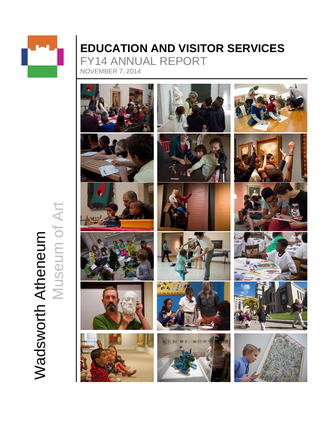

# **EDUCATION AND VISITOR SERVICES** FY14 ANNUAL REPORT

NOVEMBER 7, 2014



**Wadsworth Atheneum**<br>Museum of Art Museum of ArtWadsworth Atheneum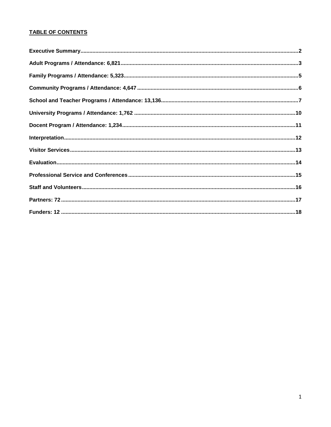# **TABLE OF CONTENTS**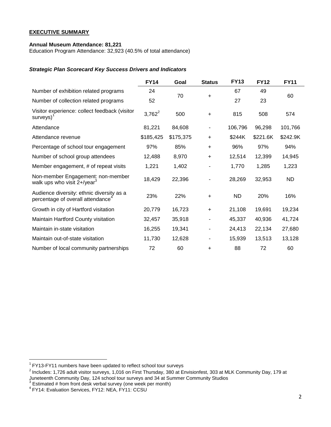#### **EXECUTIVE SUMMARY**

## **Annual Museum Attendance: 81,221**

Education Program Attendance: 32,923 (40.5% of total attendance)

## *Strategic Plan Scorecard Key Success Drivers and Indicators*

|                                                                                            | <b>FY14</b> | Goal      | <b>Status</b> | <b>FY13</b> | <b>FY12</b> | <b>FY11</b> |
|--------------------------------------------------------------------------------------------|-------------|-----------|---------------|-------------|-------------|-------------|
| Number of exhibition related programs                                                      | 24          | 70        | $\ddot{}$     | 67          | 49          | 60          |
| Number of collection related programs                                                      | 52          |           |               | 27          | 23          |             |
| Visitor experience: collect feedback (visitor<br>$s$ urveys $)^1$                          | $3,762^2$   | 500       | $\ddot{}$     | 815         | 508         | 574         |
| Attendance                                                                                 | 81,221      | 84,608    |               | 106,796     | 96,298      | 101,766     |
| Attendance revenue                                                                         | \$185,425   | \$175,375 | $\ddot{}$     | \$244K      | \$221.6K    | \$242.9K    |
| Percentage of school tour engagement                                                       | 97%         | 85%       | $\ddot{}$     | 96%         | 97%         | 94%         |
| Number of school group attendees                                                           | 12,488      | 8,970     | $\ddot{}$     | 12,514      | 12,399      | 14,945      |
| Member engagement, # of repeat visits                                                      | 1,221       | 1,402     |               | 1,770       | 1,285       | 1,223       |
| Non-member Engagement: non-member<br>walk ups who visit $2+/year^3$                        | 18,429      | 22,396    |               | 28,269      | 32,953      | ND.         |
| Audience diversity: ethnic diversity as a<br>percentage of overall attendance <sup>4</sup> | 23%         | 22%       | $\ddot{}$     | <b>ND</b>   | 20%         | 16%         |
| Growth in city of Hartford visitation                                                      | 20,779      | 16,723    | $\ddot{}$     | 21,108      | 19,691      | 19,234      |
| Maintain Hartford County visitation                                                        | 32,457      | 35,918    |               | 45,337      | 40,936      | 41,724      |
| Maintain in-state visitation                                                               | 16,255      | 19,341    |               | 24,413      | 22,134      | 27,680      |
| Maintain out-of-state visitation                                                           | 11,730      | 12,628    |               | 15,939      | 13,513      | 13,128      |
| Number of local community partnerships                                                     | 72          | 60        | $\ddot{}$     | 88          | 72          | 60          |

 1 FY13-FY11 numbers have been updated to reflect school tour surveys

 $^2$  Includes: 1,726 adult visitor surveys, 1,016 on First Thursday, 380 at Envisionfest, 303 at MLK Community Day, 179 at Juneteenth Community Day, 124 school tour surveys and 34 at Summer Community Studios 3 Estimated # from front desk verbal survey (one week per month)

<sup>4</sup> FY14: Evaluation Services, FY12: NEA, FY11: CCSU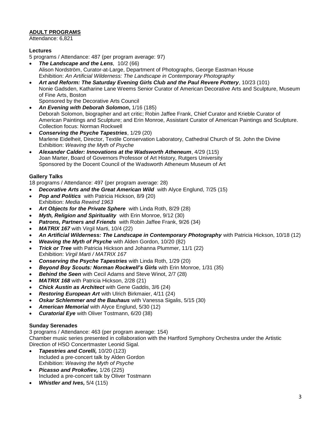# **ADULT PROGRAMS**

Attendance: 6,821

# **Lectures**

5 programs / Attendance: 487 (per program average: 97)

- *The Landscape and the Lens,* 10/2 (66) Alison Nordström, Curator-at-Large, Department of Photographs, George Eastman House Exhibition: *An Artificial Wilderness: The Landscape in Contemporary Photography*
- *Art and Reform: The Saturday Evening Girls Club and the Paul Revere Pottery*, 10/23 (101) Nonie Gadsden, Katharine Lane Weems Senior Curator of American Decorative Arts and Sculpture, Museum of Fine Arts, Boston Sponsored by the Decorative Arts Council
- *An Evening with Deborah Solomon***,** 1/16 (185) Deborah Solomon, biographer and art critic; Robin Jaffee Frank, Chief Curator and Krieble Curator of American Paintings and Sculpture; and Erin Monroe, Assistant Curator of American Paintings and Sculpture. Collection focus: Norman Rockwell
- *Conserving the Psyche Tapestries*, 1/29 (20) Marlene Eidelheit, Director, Textile Conservation Laboratory, Cathedral Church of St. John the Divine Exhibition: *Weaving the Myth of Psyche*
- *Alexander Calder: Innovations at the Wadsworth Atheneum*, 4/29 (115) Joan Marter, Board of Governors Professor of Art History, Rutgers University Sponsored by the Docent Council of the Wadsworth Atheneum Museum of Art

# **Gallery Talks**

18 programs / Attendance: 497 (per program average: 28)

- *Decorative Arts and the Great American Wild* with Alyce Englund, 7/25 (15)
- *Pop and Politics* with Patricia Hickson, 8/9 (20) Exhibition: *Media Rewind 1963*
- *Art Objects for the Private Sphere* with Linda Roth, 8/29 (28)
- *Myth, Religion and Spirituality* with Erin Monroe, 9/12 (30)
- *Patrons, Partners and Friends* with Robin Jaffee Frank, 9/26 (34)
- *MATRIX 167* with Virgil Marti, 10/4 (22)
- *An Artificial Wilderness: The Landscape in Contemporary Photography* with Patricia Hickson, 10/18 (12)
- *Weaving the Myth of Psyche* with Alden Gordon, 10/20 (82)
- *Trick or Tree* with Patricia Hickson and Johanna Plummer, 11/1 (22) Exhibition: *Virgil Marti / MATRIX 167*
- *Conserving the Psyche Tapestries* with Linda Roth, 1/29 (20)
- *Beyond Boy Scouts: Norman Rockwell's Girls* with Erin Monroe, 1/31 (35)
- *Behind the Seen* with Cecil Adams and Steve Winot, 2/7 (28)
- *MATRIX 168* with Patricia Hickson, 2/28 (21)
- *Chick Austin as Architect* with Gene Gaddis, 3/6 (24)
- *Restoring European Art* with Ulrich Birkmaier, 4/11 (24)
- *Oskar Schlemmer and the Bauhaus* with Vanessa Sigalis, 5/15 (30)
- *American Memorial* with Alyce Englund, 5/30 (12)
- *Curatorial Eye* with Oliver Tostmann, 6/20 (38)

# **Sunday Serenades**

3 programs / Attendance: 463 (per program average: 154) Chamber music series presented in collaboration with the Hartford Symphony Orchestra under the Artistic Direction of HSO Concertmaster Leonid Sigal.

- *Tapestries and Corelli,* 10/20 (123) Included a pre-concert talk by Alden Gordon Exhibition: *Weaving the Myth of Psyche*
- *Picasso and Prokofiev,* 1/26 (225) Included a pre-concert talk by Oliver Tostmann
- *Whistler and Ives,* 5/4 (115)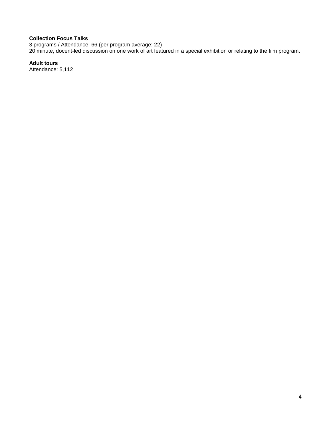## **Collection Focus Talks**

3 programs / Attendance: 66 (per program average: 22) 20 minute, docent-led discussion on one work of art featured in a special exhibition or relating to the film program.

# **Adult tours**

Attendance: 5,112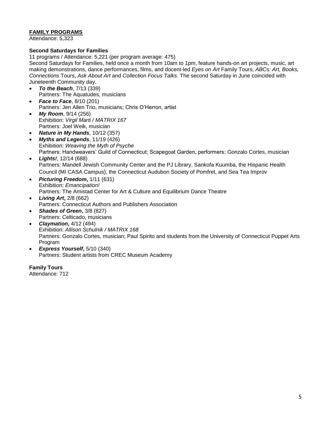# **FAMILY PROGRAMS**

Attendance: 5,323

# **Second Saturdays for Families**

11 programs / Attendance: 5,221 (per program average: 475)

Second Saturdays for Families, held once a month from 10am to 1pm, feature hands-on art projects, music, art making demonstrations, dance performances, films, and docent-led *Eyes on Art* Family Tours, *ABCs: Art, Books, Connections* Tours, *Ask About Art* and *Collection Focus Talks*. The second Saturday in June coincided with Juneteenth Community day.

- *To the Beach*, 7/13 (339) Partners: The Aquatudes, musicians
- *Face to Face*, 8/10 (201) Partners: Jen Allen Trio, musicians; Chris O'Herron, artist
- *My Room*, 9/14 (256) Exhibition: *Virgil Marti / MATRIX 167* Partners: Joel Weik, musician
- *Nature in My Hands*, 10/12 (357)
- *Myths and Legends*, 11/19 (426) Exhibition: *Weaving the Myth of Psyche* Partners: Handweavers' Guild of Connecticut; Scapegoat Garden, performers; Gonzalo Cortes, musician
- *Lights!*, 12/14 (688) Partners: Mandell Jewish Community Center and the PJ Library, Sankofa Kuumba, the Hispanic Health Council (MI CASA Campus), the Connecticut Audubon Society of Pomfret, and Sea Tea Improv
- *Picturing Freedom***,** 1/11 (631) Exhibition: *Emancipation!* Partners: The Amistad Center for Art & Culture and Equilibrium Dance Theatre
- *Living Art***,** 2/8 (662) Partners: Connecticut Authors and Publishers Association
- *Shades of Green***,** 3/8 (827) Partners: Celticado, musicians
- *Claymation***,** 4/12 (494) Exhibition: *Allison Schulnik / MATRIX 168* Partners: Gonzalo Cortes, musician; Paul Spirito and students from the University of Connecticut Puppet Arts Program
- *Express Yourself***,** 5/10 (340) Partners: Student artists from CREC Museum Academy

**Family Tours** Attendance: 712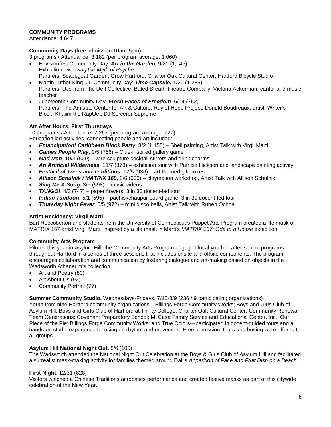# **COMMUNITY PROGRAMS**

Attendance: 4,647

## **Community Days** (free admission 10am-5pm)

3 programs / Attendance: 3,182 (per program average: 1,060)

- Envisionfest Community Day: *Art in the Garden,* 9/21 (1,145) Exhibition: *Weaving the Myth of Psyche* Partners: Scapegoat Garden, Grow Hartford, Charter Oak Cultural Center, Hartford Bicycle Studio
- Martin Luther King, Jr. Community Day: *Time Capsule,* 1/20 (1,285) Partners: DJs from The Deft Collective; Bated Breath Theatre Company; Victoria Ackerman, cantor and music teacher
- Juneteenth Community Day: *Fresh Faces of Freedom*, 6/14 (752) Partners: The Amistad Center for Art & Culture; Ray of Hope Project; Donald Boudreaux, artist; Writer's Block; Khaiim the RapOet; DJ Sorcerer Supreme

# **Art After Hours: First Thursdays**

10 programs / Attendance: 7,267 (per program average: 727)

Education led activities, connecting people and art included:

- *Emancipation! Caribbean Block Party*, 8/2 (1,155) Shell painting, Artist Talk with Virgil Marti
- *Games People Play*, 9/5 (756) Clue-inspired gallery game
- *Mad Men*, 10/3 (529) wire sculpture cocktail stirrers and drink charms
- *An Artificial Wilderness,* 11/7 (373) exhibition tour with Patricia Hickson and landscape painting activity
- *Festival of Trees and Traditions*, 12/5 (936) art-themed gift boxes
- *Allison Schulnik / MATRIX 168*, 2/6 (606) claymation workshop, Artist Talk with Allison Schulnik
- *Sing Me A Song*, 3/6 (598) music videos
- *TANGO!*, 4/3 (747) paper flowers, 3 in 30 docent-led tour
- *Indian Tandoori*, 5/1 (595) pachisi/chaupar board game, 3 in 30 docent-led tour
- *Thursday Night Fever*, 6/5 (972) mini disco balls, Artist Talk with Ruben Ochoa

#### **Artist Residency: Virgil Marti**

Bart Roccoberton and students from the University of Connecticut's Puppet Arts Program created a life mask of MATRIX 167 artist Virgil Marti, inspired by a life mask in Marti's *MATRIX 167: Ode to a Hippie* exhibition.

#### **Community Arts Program**

Piloted this vear in Asylum Hill, the Community Arts Program engaged local youth in after-school programs throughout Hartford in a series of three sessions that includes onsite and offsite components. The program encourages collaboration and communication by fostering dialogue and art-making based on objects in the Wadsworth Atheneum's collection.

- Art and Poetry (80)
- Art About Us (92)
- Community Portrait (77)

**Summer Community Studio,** Wednesdays-Fridays, 7/10-8/9 (236 / 9 participating organizations)

Youth from nine Hartford community organizations—Billings Forge Community Works; Boys and Girls Club of Asylum Hill; Boys and Girls Club of Hartford at Trinity College; Charter Oak Cultural Center; Community Renewal Team Generations; Covenant Preparatory School; Mi Casa Family Service and Educational Center, Inc.; Our Piece of the Pie; Billings Forge Community Works; and True Colors—participated in docent-guided tours and a hands-on studio experience focusing on rhythm and movement. Free admission, tours and busing were offered to all groups.

# **Asylum Hill National Night Out,** 8/6 (100)

The Wadsworth attended the National Night Out Celebration at the Boys & Girls Club of Asylum Hill and facilitated a surrealist mask-making activity for families themed around Dali's *Apparition of Face and Fruit Dish on a Beach.*

#### **First Night**, 12/31 (828)

Visitors watched a Chinese Traditions acrobatics performance and created festive masks as part of this citywide celebration of the New Year.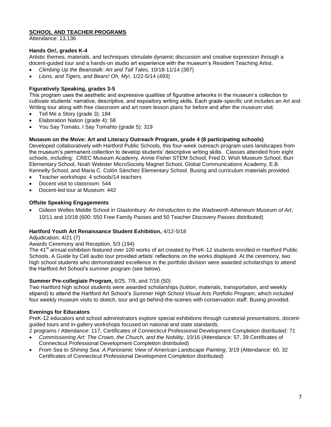# **SCHOOL AND TEACHER PROGRAMS**

Attendance: 13,136

# **Hands On!, grades K-4**

Artistic themes, materials, and techniques stimulate dynamic discussion and creative expression through a docent-guided tour and a hands-on studio art experience with the museum's Resident Teaching Artist.

- *Climbing Up the Beanstalk: Art and Tall Tales,* 10/18-11/14 (387)
- *Lions, and Tigers, and Bears! Oh, My!,* 1/22-5/14 (493)

# **Figuratively Speaking, grades 3-5**

This program uses the aesthetic and expressive qualities of figurative artworks in the museum's collection to cultivate students' narrative, descriptive, and expository writing skills. Each grade-specific unit includes an Art and Writing tour along with free classroom and art room lesson plans for before and after the museum visit.

- Tell Me a Story (grade 3): 184
- Elaboration Nation (grade 4): 58
- You Say Tomato, I Say Tomahto (grade 5): 319

# **Museum on the Move: Art and Literacy Outreach Program, grade 4 (8 participating schools)**

Developed collaboratively with Hartford Public Schools, this four-week outreach program uses landscapes from the museum's permanent collection to develop students' descriptive writing skills. Classes attended from eight schools, including: CREC Museum Academy, Annie Fisher STEM School, Fred D. Wish Museum School, Burr Elementary School, Noah Webster MicroSociety Magnet School, Global Communications Academy, E.B. Kennelly School, and Maria C. Colón Sánchez Elementary School. Busing and curriculum materials provided.

- Teacher workshops: 4 schools/14 teachers
- Docent visit to classroom: 544
- Docent-led tour at Museum: 442

# **Offsite Speaking Engagements**

 Gideon Welles Middle School in Glastonbury*: An Introduction to the Wadsworth Atheneum Museum of Art*, 10/11 and 10/18 (600; 550 Free Family Passes and 50 Teacher Discovery Passes distributed)

# **Hartford Youth Art Renaissance Student Exhibition,** 4/12-5/18

Adjudication, 4/21 (7)

# Awards Ceremony and Reception, 5/3 (194)

The 41<sup>st</sup> annual exhibition featured over 100 works of art created by PreK-12 students enrolled in Hartford Public Schools. A Guide by Cell audio tour provided artists' reflections on the works displayed. At the ceremony, two high school students who demonstrated excellence in the portfolio division were awarded scholarships to attend the Hartford Art School's summer program (see below).

## **Summer Pre-collegiate Program,** 6/25, 7/9, and 7/16 (50)

Two Hartford high school students were awarded scholarships (tuition, materials, transportation, and weekly stipend) to attend the Hartford Art School's *Summer High School Visual Arts Portfolio Program*, which included four weekly museum visits to sketch, tour and go behind-the-scenes with conservation staff. Busing provided.

# **Evenings for Educators**

PreK-12 educators and school administrators explore special exhibitions through curatorial presentations, docentguided tours and in-gallery workshops focused on national and state standards.

2 programs / Attendance: 117, Certificates of Connecticut Professional Development Completion distributed: 71

- *Commissioning Art: The Crown, the Church, and the Nobility*, 10/16 (Attendance: 57, 39 Certificates of Connecticut Professional Development Completion distributed)
- *From Sea to Shining Sea: A Panoramic View of American Landscape Painting*, 3/19 (Attendance: 60, 32 Certificates of Connecticut Professional Development Completion distributed)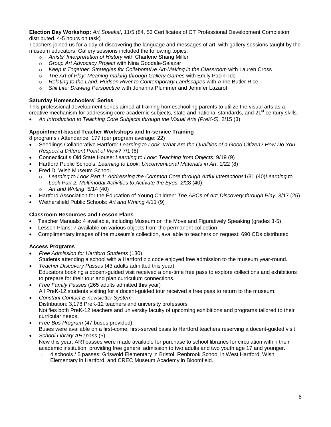**Election Day Workshop:** *Art Speaks!*, 11/5 (84, 53 Certificates of CT Professional Development Completion distributed. 4-5 hours on task)

Teachers joined us for a day of discovering the language and messages of art, with gallery sessions taught by the museum educators. Gallery sessions included the following topics:

- o *Artists' Interpretation of History* with Charlene Shang Miller
- o *Group Art Advocacy Project* with Nina Goodale-Salazar
- o *Keep It Together: Strategies for Collaborative Art-Making in the Classroom* with Lauren Cross
- o *The Art of Play: Meaning-making through Gallery Games* with Emily Pacini Ide
- o *Relating to the Land: Hudson River to Contemporary Landscapes* with Anne Butler Rice
- o *Still Life: Drawing Perspective* with Johanna Plummer and Jennifer Lazaroff

# **Saturday Homeschoolers' Series**

This professional development series aimed at training homeschooling parents to utilize the visual arts as a creative mechanism for addressing core academic subjects, state and national standards, and 21<sup>st</sup> century skills.

*An Introduction to Teaching Core Subjects through the Visual Arts (PreK-5),* 2/15 (3)

# **Appointment-based Teacher Workshops and In-service Training**

8 programs / Attendance: 177 (per program average: 22)

- Seedlings Collaborative Hartford: *Learning to Look: What Are the Qualities of a Good Citizen? How Do You Respect a Different Point of View?* 7/1 (6)
- Connecticut's Old State House: *Learning to Look: Teaching from Objects*, 9/19 (9)
- Hartford Public Schools: *Learning to Look: Unconventional Materials in Art*, 1/22 (8)
- Fred D. Wish Museum School
	- o *Learning to Look Part 1: Addressing the Common Core through Artful Interactions*1/31 (40)*Learning to Look Part 2: Multimodal Activities to Activate the Eyes, 2*/28 (40) o *Art and Writing*, 5/14 (40)
- Hartford Association for the Education of Young Children: *The ABCs of Art: Discovery through Play*, 3/17 (25)
- Wethersfield Public Schools: *Art and Writing* 4/11 (9)

# **Classroom Resources and Lesson Plans**

- Teacher Manuals: 4 available, including Museum on the Move and Figuratively Speaking (grades 3-5)
- Lesson Plans: 7 available on various objects from the permanent collection
- Complimentary images of the museum's collection, available to teachers on request: 690 CDs distributed

# **Access Programs**

- *Free Admission for Hartford Students* (130) Students attending a school with a Hartford zip code enjoyed free admission to the museum year-round.
- *Teacher Discovery Passes* (43 adults admitted this year) Educators booking a docent-guided visit received a one-time free pass to explore collections and exhibitions to prepare for their tour and plan curriculum connections.
- *Free Family Passes* (265 adults admitted this year) All PreK-12 students visiting for a docent-guided tour received a free pass to return to the museum.
- *Constant Contact E-newsletter System* Distribution: 3,178 PreK-12 teachers and university professors Notifies both PreK-12 teachers and university faculty of upcoming exhibitions and programs tailored to their curricular needs.
- *Free Bus Program* (47 buses provided)
- Buses were available on a first-come, first-served basis to Hartford teachers reserving a docent-guided visit. *School Library ARTpass* (5)
- New this year, ARTpasses were made available for purchase to school libraries for circulation within their academic institution, providing free general admission to two adults and two youth age 17 and younger.
	- $\circ$  4 schools / 5 passes: Griswold Elementary in Bristol, Renbrook School in West Hartford, Wish Elementary in Hartford, and CREC Museum Academy in Bloomfield.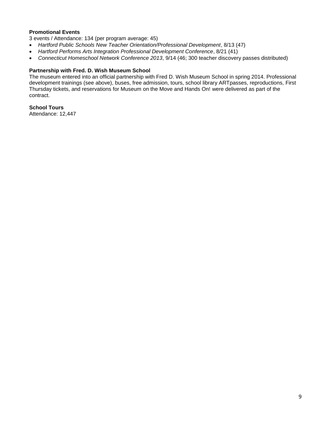## **Promotional Events**

3 events / Attendance: 134 (per program average: 45)

- *Hartford Public Schools New Teacher Orientation/Professional Development*, 8/13 (47)
- *Hartford Performs Arts Integration Professional Development Conference*, 8/21 (41)
- *Connecticut Homeschool Network Conference 2013*, 9/14 (46; 300 teacher discovery passes distributed)

## **Partnership with Fred. D. Wish Museum School**

The museum entered into an official partnership with Fred D. Wish Museum School in spring 2014. Professional development trainings (see above), buses, free admission, tours, school library ARTpasses, reproductions, First Thursday tickets, and reservations for Museum on the Move and Hands On! were delivered as part of the contract.

**School Tours**

Attendance: 12,447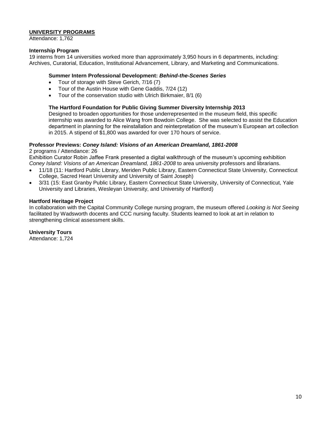## **UNIVERSITY PROGRAMS**

Attendance: 1,762

## **Internship Program**

19 interns from 14 universities worked more than approximately 3,950 hours in 6 departments, including: Archives, Curatorial, Education, Institutional Advancement, Library, and Marketing and Communications.

#### **Summer Intern Professional Development:** *Behind-the-Scenes Series*

- Tour of storage with Steve Gerich, 7/16 (7)
- Tour of the Austin House with Gene Gaddis, 7/24 (12)
- Tour of the conservation studio with Ulrich Birkmaier, 8/1 (6)

## **The Hartford Foundation for Public Giving Summer Diversity Internship 2013**

Designed to broaden opportunities for those underrepresented in the museum field, this specific internship was awarded to Alice Wang from Bowdoin College. She was selected to assist the Education department in planning for the reinstallation and reinterpretation of the museum's European art collection in 2015. A stipend of \$1,800 was awarded for over 170 hours of service.

## **Professor Previews:** *Coney Island: Visions of an American Dreamland, 1861-2008*

2 programs / Attendance: 26

Exhibition Curator Robin Jaffee Frank presented a digital walkthrough of the museum's upcoming exhibition *Coney Island: Visions of an American Dreamland, 1861-2008* to area university professors and librarians.

- 11/18 (11: Hartford Public Library, Meriden Public Library, Eastern Connecticut State University, Connecticut College, Sacred Heart University and University of Saint Joseph)
- 3/31 (15: East Granby Public Library, Eastern Connecticut State University, University of Connecticut, Yale University and Libraries, Wesleyan University, and University of Hartford)

#### **Hartford Heritage Project**

In collaboration with the Capital Community College nursing program, the museum offered *Looking is Not Seeing* facilitated by Wadsworth docents and CCC nursing faculty. Students learned to look at art in relation to strengthening clinical assessment skills.

**University Tours**

Attendance: 1,724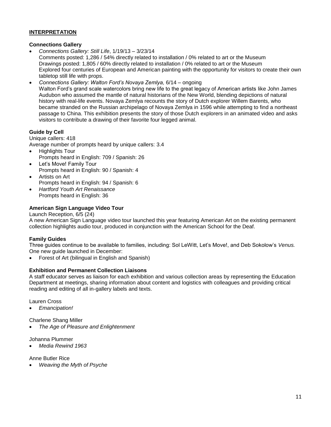# **INTERPRETATION**

## **Connections Gallery**

- *Connections Gallery: Still Life*, 1/19/13 3/23/14 Comments posted: 1,286 / 54% directly related to installation / 0% related to art or the Museum Drawings posted: 1,805 / 60% directly related to installation / 0% related to art or the Museum Explored four centuries of European and American painting with the opportunity for visitors to create their own tabletop still life with props.
- *Connections Gallery: Walton Ford's Novaya Zemlya,* 6/14 ongoing Walton Ford's grand scale watercolors bring new life to the great legacy of American artists like John James Audubon who assumed the mantle of natural historians of the New World, blending depictions of natural history with real-life events. Novaya Zemlya recounts the story of Dutch explorer Willem Barents, who became stranded on the Russian archipelago of Novaya Zemlya in 1596 while attempting to find a northeast passage to China. This exhibition presents the story of those Dutch explorers in an animated video and asks visitors to contribute a drawing of their favorite four legged animal.

# **Guide by Cell**

Unique callers: 418 Average number of prompts heard by unique callers: 3.4

- Highlights Tour Prompts heard in English: 709 / Spanish: 26
- Let's Move! Family Tour Prompts heard in English: 90 / Spanish: 4
- Artists on Art Prompts heard in English: 94 / Spanish: 6
- *Hartford Youth Art Renaissance* Prompts heard in English: 36

# **American Sign Language Video Tour**

Launch Reception, 6/5 (24)

A new American Sign Language video tour launched this year featuring American Art on the existing permanent collection highlights audio tour, produced in conjunction with the American School for the Deaf.

# **Family Guides**

Three guides continue to be available to families, including: Sol LeWitt, Let's Move!, and Deb Sokolow's *Venus.* One new guide launched in December:

Forest of Art (bilingual in English and Spanish)

# **Exhibition and Permanent Collection Liaisons**

A staff educator serves as liaison for each exhibition and various collection areas by representing the Education Department at meetings, sharing information about content and logistics with colleagues and providing critical reading and editing of all in-gallery labels and texts.

Lauren Cross

*Emancipation!*

Charlene Shang Miller

*The Age of Pleasure and Enlightenment*

Johanna Plummer

*Media Rewind 1963*

Anne Butler Rice

*Weaving the Myth of Psyche*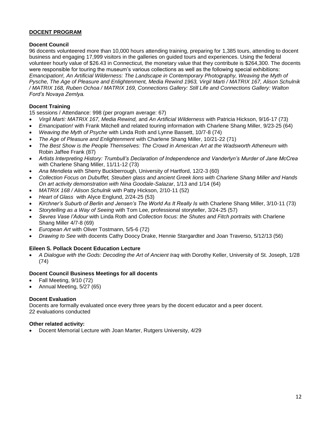# **DOCENT PROGRAM**

# **Docent Council**

96 docents volunteered more than 10,000 hours attending training, preparing for 1,385 tours, attending to docent business and engaging 17,999 visitors in the galleries on guided tours and experiences. Using the federal volunteer hourly value of \$26.43 in Connecticut, the monetary value that they contribute is \$264,300. The docents were responsible for touring the museum's various collections as well as the following special exhibitions: *Emancipation!, An Artificial Wilderness: The Landscape in Contemporary Photography, Weaving the Myth of Pysche, The Age of Pleasure and Enlightenment, Media Rewind 1963, Virgil Marti / MATRIX 167, Alison Schulnik / MATRIX 168, Ruben Ochoa / MATRIX 169, Connections Gallery: Still Life and Connections Gallery: Walton Ford's Novaya Zemlya.* 

# **Docent Training**

15 sessions / Attendance: 998 (per program average: 67)

- *Virgil Marti: MATRIX 167, Media Rewind,* and *An Artificial Wilderness* with Patricia Hickson, 9/16-17 (73)
- *Emancipation!* with Frank Mitchell and related touring information with Charlene Shang Miller, 9/23-25 (64)
- *Weaving the Myth of Psyche* with Linda Roth and Lynne Bassett, 10/7-8 (74)
- *The Age of Pleasure and Enlightenment* with Charlene Shang Miller, 10/21-22 (71)
- *The Best Show is the People Themselves: The Crowd in American Art at the Wadsworth Atheneum* with Robin Jaffee Frank (87)
- *Artists Interpreting History: Trumbull's Declaration of Independence and Vanderlyn's Murder of Jane McCrea* with Charlene Shang Miller, 11/11-12 (73)
- *Ana Mendieta* with Sherry Buckberrough, University of Hartford, 12/2-3 (60)
- *Collection Focus on Dubuffet, Steuben glass and ancient Greek lions with Charlene Shang Miller and Hands On art activity demonstration with Nina Goodale-Salazar*, 1/13 and 1/14 (64)
- *MATRIX 168 / Alison Schulnik* with Patty Hickson, 2/10-11 (52)
- *Heart of Glass* with Alyce Englund, 2/24-25 (53)
- *Kirchner's Suburb of Berlin and Jensen's The World As It Really Is* with Charlene Shang Miller, 3/10-11 (73)
- *Storytelling as a Way of Seeing* with Tom Lee, professional storyteller, 3/24-25 (57)
- *Sevres Vase l'Adour* with Linda Roth and *Collection focus: the Shutes and Fitch portraits* with Charlene Shang Miller 4/7-8 (69)
- *European Art* with Oliver Tostmann, 5/5-6 (72)
- *Drawing to See* with docents Cathy Doocy Drake, Hennie Stargardter and Joan Traverso, 5/12/13 (56)

# **Eileen S. Pollack Docent Education Lecture**

 *A Dialogue with the Gods: Decoding the Art of Ancient Iraq* with Dorothy Keller, University of St. Joseph, 1/28 (74)

# **Docent Council Business Meetings for all docents**

- Fall Meeting, 9/10 (72)
- Annual Meeting, 5/27 (65)

# **Docent Evaluation**

Docents are formally evaluated once every three years by the docent educator and a peer docent. 22 evaluations conducted

# **Other related activity:**

Docent Memorial Lecture with Joan Marter, Rutgers University, 4/29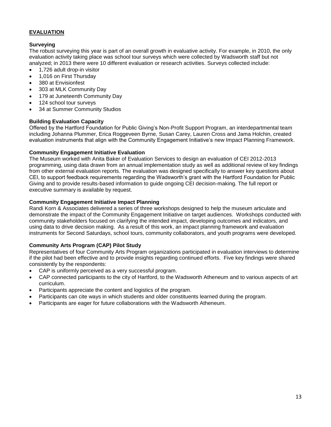# **EVALUATION**

# **Surveying**

The robust surveying this year is part of an overall growth in evaluative activity. For example, in 2010, the only evaluation activity taking place was school tour surveys which were collected by Wadsworth staff but not analyzed; in 2013 there were 10 different evaluation or research activities. Surveys collected include:

- 1,726 adult drop-in visitor
- 1,016 on First Thursday
- 380 at Envisionfest
- 303 at MLK Community Day
- 179 at Juneteenth Community Day
- 124 school tour surveys
- 34 at Summer Community Studios

# **Building Evaluation Capacity**

Offered by the Hartford Foundation for Public Giving's Non-Profit Support Program, an interdepartmental team including Johanna Plummer, Erica Roggeveen Byrne, Susan Carey, Lauren Cross and Jama Holchin, created evaluation instruments that align with the Community Engagement Initiative's new Impact Planning Framework.

## **Community Engagement Initiative Evaluation**

The Museum worked with Anita Baker of Evaluation Services to design an evaluation of CEI 2012-2013 programming, using data drawn from an annual implementation study as well as additional review of key findings from other external evaluation reports. The evaluation was designed specifically to answer key questions about CEI, to support feedback requirements regarding the Wadsworth's grant with the Hartford Foundation for Public Giving and to provide results-based information to guide ongoing CEI decision-making. The full report or executive summary is available by request.

## **Community Engagement Initiative Impact Planning**

Randi Korn & Associates delivered a series of three workshops designed to help the museum articulate and demonstrate the impact of the Community Engagement Initiative on target audiences. Workshops conducted with community stakeholders focused on clarifying the intended impact, developing outcomes and indicators, and using data to drive decision making. As a result of this work, an impact planning framework and evaluation instruments for Second Saturdays, school tours, community collaborators, and youth programs were developed.

# **Community Arts Program (CAP) Pilot Study**

Representatives of four Community Arts Program organizations participated in evaluation interviews to determine if the pilot had been effective and to provide insights regarding continued efforts. Five key findings were shared consistently by the respondents:

- CAP is uniformly perceived as a very successful program.
- CAP connected participants to the city of Hartford, to the Wadsworth Atheneum and to various aspects of art curriculum.
- Participants appreciate the content and logistics of the program.
- Participants can cite ways in which students and older constituents learned during the program.
- Participants are eager for future collaborations with the Wadsworth Atheneum.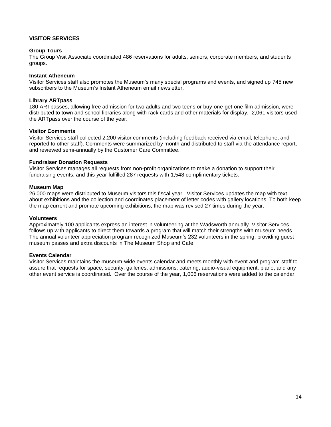# **VISITOR SERVICES**

#### **Group Tours**

The Group Visit Associate coordinated 486 reservations for adults, seniors, corporate members, and students groups.

#### **Instant Atheneum**

Visitor Services staff also promotes the Museum's many special programs and events, and signed up 745 new subscribers to the Museum's Instant Atheneum email newsletter.

#### **Library ARTpass**

180 ARTpasses, allowing free admission for two adults and two teens or buy-one-get-one film admission, were distributed to town and school libraries along with rack cards and other materials for display. 2,061 visitors used the ARTpass over the course of the year.

#### **Visitor Comments**

Visitor Services staff collected 2,200 visitor comments (including feedback received via email, telephone, and reported to other staff). Comments were summarized by month and distributed to staff via the attendance report, and reviewed semi-annually by the Customer Care Committee.

#### **Fundraiser Donation Requests**

Visitor Services manages all requests from non-profit organizations to make a donation to support their fundraising events, and this year fulfilled 287 requests with 1,548 complimentary tickets.

#### **Museum Map**

26,000 maps were distributed to Museum visitors this fiscal year. Visitor Services updates the map with text about exhibitions and the collection and coordinates placement of letter codes with gallery locations. To both keep the map current and promote upcoming exhibitions, the map was revised 27 times during the year.

#### **Volunteers**

Approximately 100 applicants express an interest in volunteering at the Wadsworth annually. Visitor Services follows up with applicants to direct them towards a program that will match their strengths with museum needs. The annual volunteer appreciation program recognized Museum's 232 volunteers in the spring, providing guest museum passes and extra discounts in The Museum Shop and Cafe.

#### **Events Calendar**

Visitor Services maintains the museum-wide events calendar and meets monthly with event and program staff to assure that requests for space, security, galleries, admissions, catering, audio-visual equipment, piano, and any other event service is coordinated. Over the course of the year, 1,006 reservations were added to the calendar.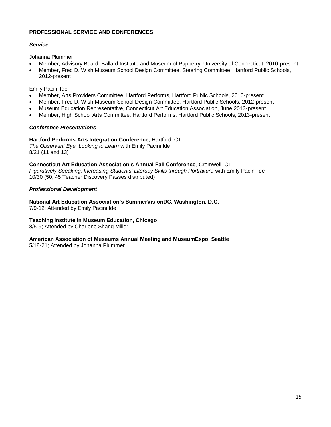# **PROFESSIONAL SERVICE AND CONFERENCES**

# *Service*

Johanna Plummer

- Member, Advisory Board, Ballard Institute and Museum of Puppetry, University of Connecticut, 2010-present
- Member, Fred D. Wish Museum School Design Committee, Steering Committee, Hartford Public Schools, 2012-present

Emily Pacini Ide

- Member, Arts Providers Committee, Hartford Performs, Hartford Public Schools, 2010-present
- Member, Fred D. Wish Museum School Design Committee, Hartford Public Schools, 2012-present
- Museum Education Representative, Connecticut Art Education Association, June 2013-present
- Member, High School Arts Committee, Hartford Performs, Hartford Public Schools, 2013-present

# *Conference Presentations*

# **Hartford Performs Arts Integration Conference**, Hartford, CT

*The Observant Eye: Looking to Learn* with Emily Pacini Ide 8/21 (11 and 13)

**Connecticut Art Education Association's Annual Fall Conference**, Cromwell, CT *Figuratively Speaking: Increasing Students' Literacy Skills through Portraiture* with Emily Pacini Ide 10/30 (50; 45 Teacher Discovery Passes distributed)

# *Professional Development*

**National Art Education Association's SummerVisionDC, Washington, D.C.**

7/9-12; Attended by Emily Pacini Ide

# **Teaching Institute in Museum Education, Chicago**

8/5-9; Attended by Charlene Shang Miller

# **American Association of Museums Annual Meeting and MuseumExpo, Seattle**

5/18-21; Attended by Johanna Plummer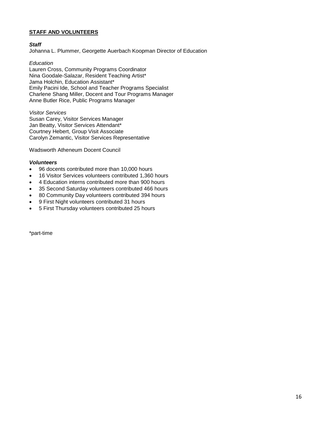# **STAFF AND VOLUNTEERS**

#### *Staff*

Johanna L. Plummer, Georgette Auerbach Koopman Director of Education

## *Education*

Lauren Cross, Community Programs Coordinator Nina Goodale-Salazar, Resident Teaching Artist\* Jama Holchin, Education Assistant\* Emily Pacini Ide, School and Teacher Programs Specialist Charlene Shang Miller, Docent and Tour Programs Manager Anne Butler Rice, Public Programs Manager

*Visitor Services* Susan Carey, Visitor Services Manager Jan Beatty, Visitor Services Attendant\* Courtney Hebert, Group Visit Associate Carolyn Zemantic, Visitor Services Representative

Wadsworth Atheneum Docent Council

#### *Volunteers*

- 96 docents contributed more than 10,000 hours
- 16 Visitor Services volunteers contributed 1,360 hours
- 4 Education interns contributed more than 900 hours
- 35 Second Saturday volunteers contributed 466 hours
- 80 Community Day volunteers contributed 394 hours
- 9 First Night volunteers contributed 31 hours
- 5 First Thursday volunteers contributed 25 hours

\*part-time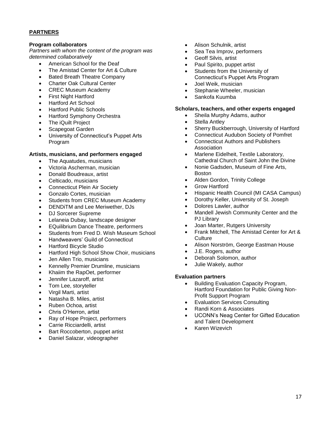# **PARTNERS**

## **Program collaborators**

*Partners with whom the content of the program was determined collaboratively*

- American School for the Deaf
- The Amistad Center for Art & Culture
- Bated Breath Theatre Company
- Charter Oak Cultural Center
- CREC Museum Academy
- First Night Hartford
- Hartford Art School
- Hartford Public Schools
- Hartford Symphony Orchestra
- The iQuilt Project
- Scapegoat Garden
- University of Connecticut's Puppet Arts Program

## **Artists, musicians, and performers engaged**

- The Aquatudes, musicians
- Victoria Ascherman, musician
- Donald Boudreaux, artist
- Celticado, musicians
- Connecticut Plein Air Society
- Gonzalo Cortes, musician
- Students from CREC Museum Academy
- DENDiTM and Lee Meriwether, DJs
- DJ Sorcerer Supreme
- Lelaneia Dubay, landscape designer
- EQuilibrium Dance Theatre, performers
- Students from Fred D. Wish Museum School
- Handweavers' Guild of Connecticut
- Hartford Bicycle Studio
- Hartford High School Show Choir, musicians
- Jen Allen Trio, musicians
- Kennelly Premier Drumline, musicians
- Khaiim the RapOet, performer
- Jennifer Lazaroff, artist
- Tom Lee, storyteller
- Virgil Marti, artist
- Natasha B. Miles, artist
- Ruben Ochoa, artist
- Chris O'Herron, artist
- Ray of Hope Project, performers
- Carrie Ricciardelli, artist
- Bart Roccoberton, puppet artist
- Daniel Salazar, videographer
- Alison Schulnik, artist
- Sea Tea Improv, performers
- Geoff Silvis, artist
- Paul Spirito, puppet artist
- Students from the University of Connecticut's Puppet Arts Program
- Joel Weik, musician
- Stephanie Wheeler, musician
- Sankofa Kuumba

## **Scholars, teachers, and other experts engaged**

- Sheila Murphy Adams, author
- Stella Antley
- Sherry Buckberrough, University of Hartford
- Connecticut Audubon Society of Pomfret
- Connecticut Authors and Publishers Association
- Marlene Eidelheit, Textile Laboratory, Cathedral Church of Saint John the Divine
- Nonie Gadsden, Museum of Fine Arts, Boston
- Alden Gordon, Trinity College
- Grow Hartford
- Hispanic Health Council (MI CASA Campus)
- Dorothy Keller, University of St. Joseph
- Dolores Lawler, author
- Mandell Jewish Community Center and the PJ Library
- Joan Marter, Rutgers University
- Frank Mitchell, The Amistad Center for Art & **Culture**
- Alison Norström, George Eastman House
- J.E. Rogers, author
- Deborah Solomon, author
- Julie Wakely, author

#### **Evaluation partners**

- Building Evaluation Capacity Program, Hartford Foundation for Public Giving Non-Profit Support Program
- Evaluation Services Consulting
- Randi Korn & Associates
- UCONN's Neag Center for Gifted Education and Talent Development
- Karen Wizevich